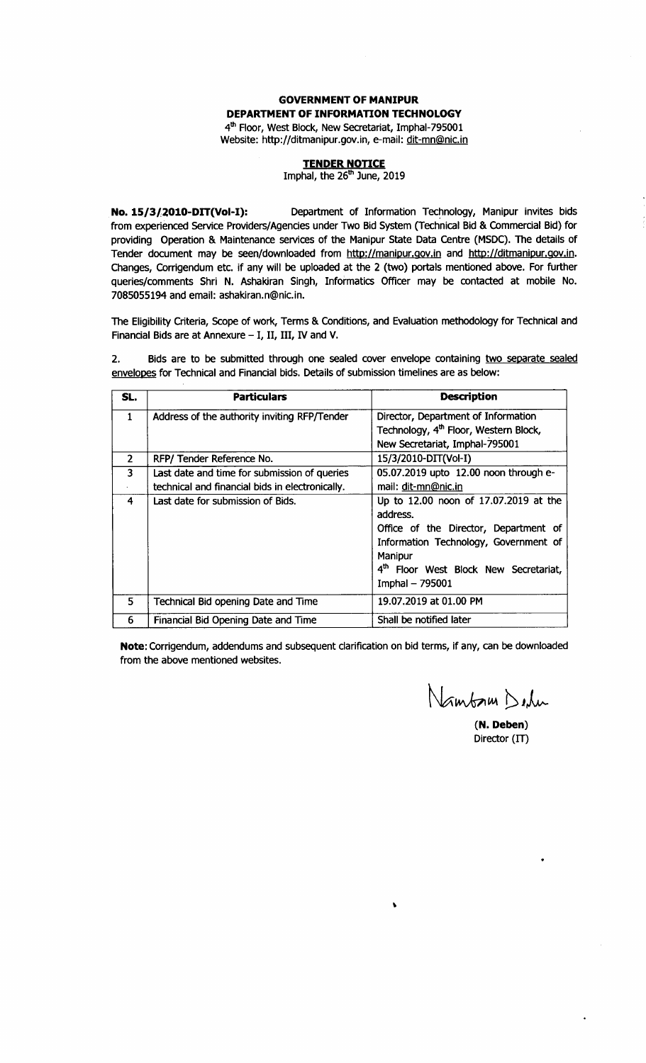#### **GOVERNMENT OF MANIPUR** DEPARTMENT OF INFORMATION TECHNOLOGY 4<sup>th</sup> Floor, West Block, New Secretariat, Imphal-795001

Website: http://ditmanipur.gov.in, e-mail: dit-mn@nic.in

**TENDER NOTICE**<br>Imphal, the 26<sup>th</sup> June, 2019

Department of Information Technology, Manipur invites bids No. 15/3/2010-DIT(Vol-I): from experienced Service Providers/Agencies under Two Bid System (Technical Bid & Commercial Bid) for providing Operation & Maintenance services of the Manipur State Data Centre (MSDC). The details of Tender document may be seen/downloaded from http://manipur.gov.in and http://ditmanipur.gov.in. Changes, Corrigendum etc. if any will be uploaded at the 2 (two) portals mentioned above. For further queries/comments Shri N. Ashakiran Singh, Informatics Officer may be contacted at mobile No. 7085055194 and email: ashakiran.n@nic.in.

The Eligibility Criteria, Scope of work, Terms & Conditions, and Evaluation methodology for Technical and Financial Bids are at Annexure - I, II, III, IV and V.

Bids are to be submitted through one sealed cover envelope containing two separate sealed  $2.$ envelopes for Technical and Financial bids. Details of submission timelines are as below:

| SL.                     | <b>Particulars</b>                              | <b>Description</b>                                |
|-------------------------|-------------------------------------------------|---------------------------------------------------|
| $\mathbf{1}$            | Address of the authority inviting RFP/Tender    | Director, Department of Information               |
|                         |                                                 | Technology, 4 <sup>th</sup> Floor, Western Block, |
|                         |                                                 | New Secretariat, Imphal-795001                    |
| $\overline{2}$          | RFP/ Tender Reference No.                       | 15/3/2010-DIT(Vol-I)                              |
| $\overline{\mathbf{3}}$ | Last date and time for submission of queries    | 05.07.2019 upto 12.00 noon through e-             |
|                         | technical and financial bids in electronically. | mail: dit-mn@nic.in                               |
| 4                       | Last date for submission of Bids.               | Up to 12.00 noon of 17.07.2019 at the             |
|                         |                                                 | address.                                          |
|                         |                                                 | Office of the Director, Department of             |
|                         |                                                 | Information Technology, Government of             |
|                         |                                                 | Manipur                                           |
|                         |                                                 | 4th Floor West Block New Secretariat,             |
|                         |                                                 | Imphal - 795001                                   |
| 5                       | Technical Bid opening Date and Time             | 19.07.2019 at 01.00 PM                            |
| 6                       | Financial Bid Opening Date and Time             | Shall be notified later                           |

Note: Corrigendum, addendums and subsequent clarification on bid terms, if any, can be downloaded from the above mentioned websites.

Nambam Delu

 $(N. Deben)$ Director (IT)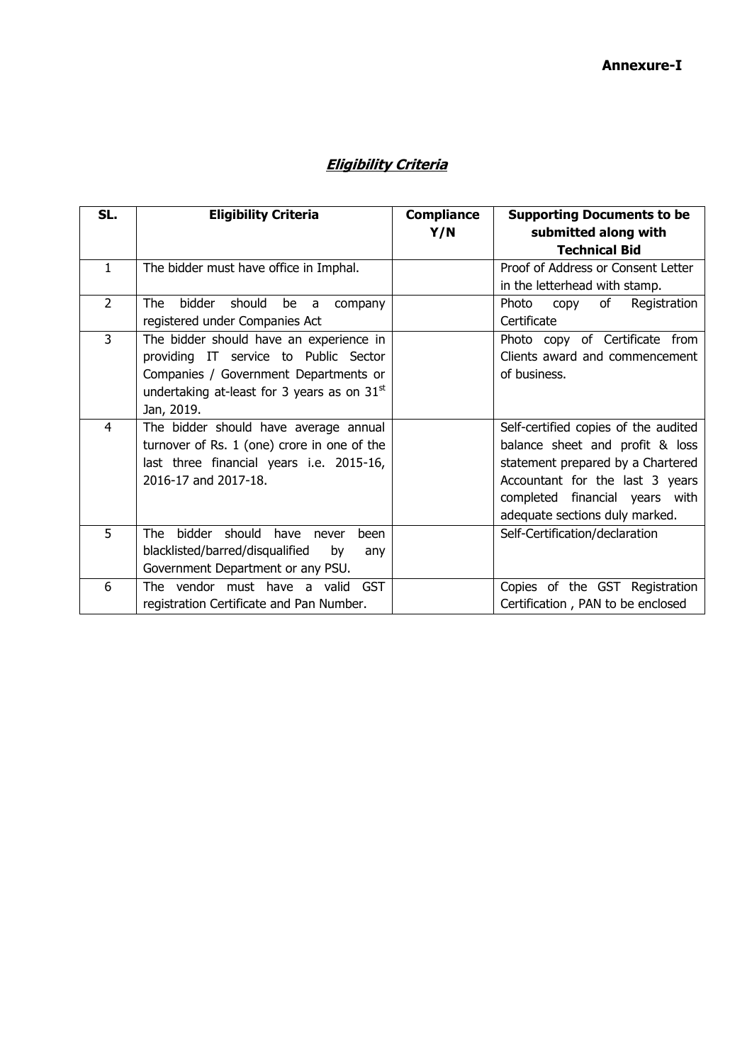# **Eligibility Criteria**

| SL.            | <b>Eligibility Criteria</b>                   | <b>Compliance</b> | <b>Supporting Documents to be</b>    |
|----------------|-----------------------------------------------|-------------------|--------------------------------------|
|                |                                               | Y/N               | submitted along with                 |
|                |                                               |                   | <b>Technical Bid</b>                 |
| $\mathbf{1}$   | The bidder must have office in Imphal.        |                   | Proof of Address or Consent Letter   |
|                |                                               |                   | in the letterhead with stamp.        |
| $\overline{2}$ | The<br>should<br>bidder<br>be a<br>company    |                   | Photo<br>of<br>Registration<br>copy  |
|                | registered under Companies Act                |                   | Certificate                          |
| $\overline{3}$ | The bidder should have an experience in       |                   | Photo copy of Certificate from       |
|                | providing IT service to Public Sector         |                   | Clients award and commencement       |
|                | Companies / Government Departments or         |                   | of business.                         |
|                | undertaking at-least for 3 years as on $31st$ |                   |                                      |
|                | Jan, 2019.                                    |                   |                                      |
| 4              | The bidder should have average annual         |                   | Self-certified copies of the audited |
|                | turnover of Rs. 1 (one) crore in one of the   |                   | balance sheet and profit & loss      |
|                | last three financial years i.e. 2015-16,      |                   | statement prepared by a Chartered    |
|                | 2016-17 and 2017-18.                          |                   | Accountant for the last 3 years      |
|                |                                               |                   | completed financial years with       |
|                |                                               |                   | adequate sections duly marked.       |
| 5              | bidder should have<br>The<br>been<br>never    |                   | Self-Certification/declaration       |
|                | blacklisted/barred/disqualified<br>by<br>any  |                   |                                      |
|                | Government Department or any PSU.             |                   |                                      |
| 6              | The vendor must have a valid<br><b>GST</b>    |                   | Copies of the GST Registration       |
|                | registration Certificate and Pan Number.      |                   | Certification, PAN to be enclosed    |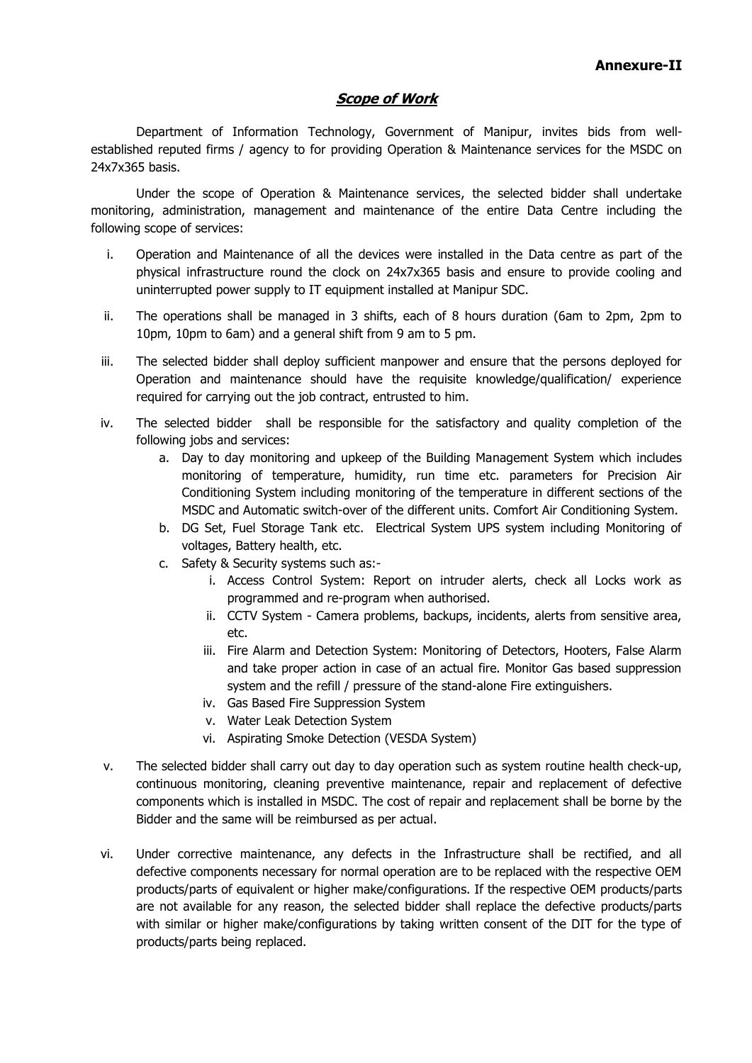#### **Scope of Work**

Department of Information Technology, Government of Manipur, invites bids from wellestablished reputed firms / agency to for providing Operation & Maintenance services for the MSDC on 24x7x365 basis.

Under the scope of Operation & Maintenance services, the selected bidder shall undertake monitoring, administration, management and maintenance of the entire Data Centre including the following scope of services:

- i. Operation and Maintenance of all the devices were installed in the Data centre as part of the physical infrastructure round the clock on 24x7x365 basis and ensure to provide cooling and uninterrupted power supply to IT equipment installed at Manipur SDC.
- ii. The operations shall be managed in 3 shifts, each of 8 hours duration (6am to 2pm, 2pm to 10pm, 10pm to 6am) and a general shift from 9 am to 5 pm.
- iii. The selected bidder shall deploy sufficient manpower and ensure that the persons deployed for Operation and maintenance should have the requisite knowledge/qualification/ experience required for carrying out the job contract, entrusted to him.
- iv. The selected bidder shall be responsible for the satisfactory and quality completion of the following jobs and services:
	- a. Day to day monitoring and upkeep of the Building Management System which includes monitoring of temperature, humidity, run time etc. parameters for Precision Air Conditioning System including monitoring of the temperature in different sections of the MSDC and Automatic switch-over of the different units. Comfort Air Conditioning System.
	- b. DG Set, Fuel Storage Tank etc. Electrical System UPS system including Monitoring of voltages, Battery health, etc.
	- c. Safety & Security systems such as:
		- i. Access Control System: Report on intruder alerts, check all Locks work as programmed and re-program when authorised.
		- ii. CCTV System Camera problems, backups, incidents, alerts from sensitive area, etc.
		- iii. Fire Alarm and Detection System: Monitoring of Detectors, Hooters, False Alarm and take proper action in case of an actual fire. Monitor Gas based suppression system and the refill / pressure of the stand-alone Fire extinguishers.
		- iv. Gas Based Fire Suppression System
		- v. Water Leak Detection System
		- vi. Aspirating Smoke Detection (VESDA System)
- v. The selected bidder shall carry out day to day operation such as system routine health check-up, continuous monitoring, cleaning preventive maintenance, repair and replacement of defective components which is installed in MSDC. The cost of repair and replacement shall be borne by the Bidder and the same will be reimbursed as per actual.
- vi. Under corrective maintenance, any defects in the Infrastructure shall be rectified, and all defective components necessary for normal operation are to be replaced with the respective OEM products/parts of equivalent or higher make/configurations. If the respective OEM products/parts are not available for any reason, the selected bidder shall replace the defective products/parts with similar or higher make/configurations by taking written consent of the DIT for the type of products/parts being replaced.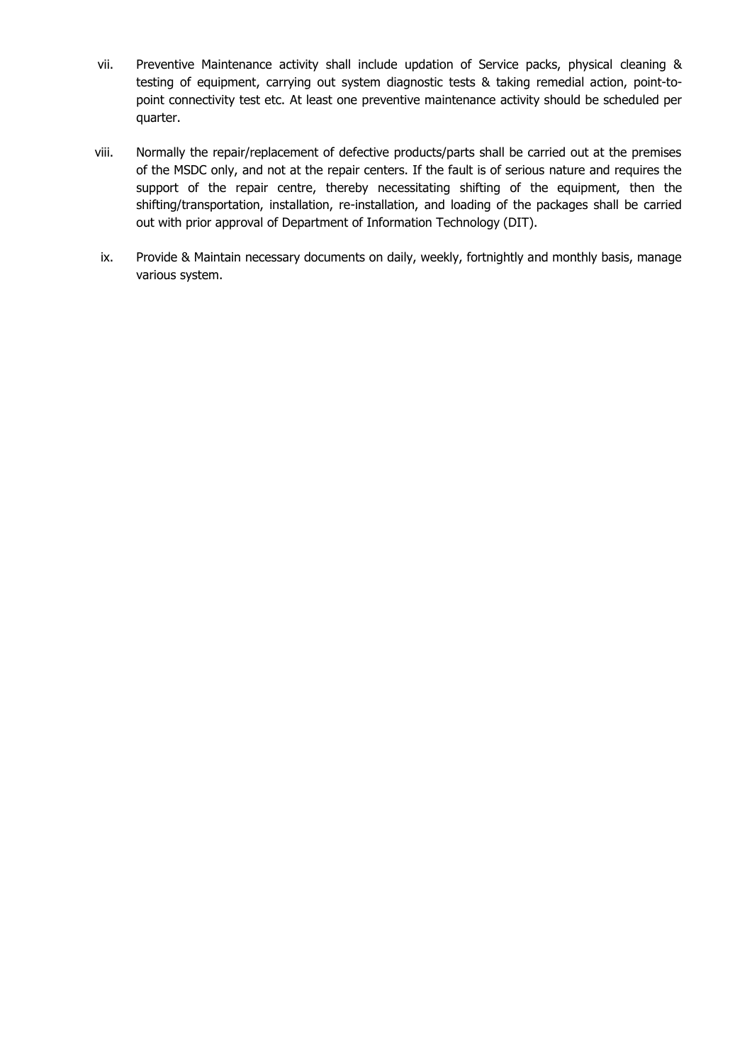- vii. Preventive Maintenance activity shall include updation of Service packs, physical cleaning & testing of equipment, carrying out system diagnostic tests & taking remedial action, point-topoint connectivity test etc. At least one preventive maintenance activity should be scheduled per quarter.
- viii. Normally the repair/replacement of defective products/parts shall be carried out at the premises of the MSDC only, and not at the repair centers. If the fault is of serious nature and requires the support of the repair centre, thereby necessitating shifting of the equipment, then the shifting/transportation, installation, re-installation, and loading of the packages shall be carried out with prior approval of Department of Information Technology (DIT).
- ix. Provide & Maintain necessary documents on daily, weekly, fortnightly and monthly basis, manage various system.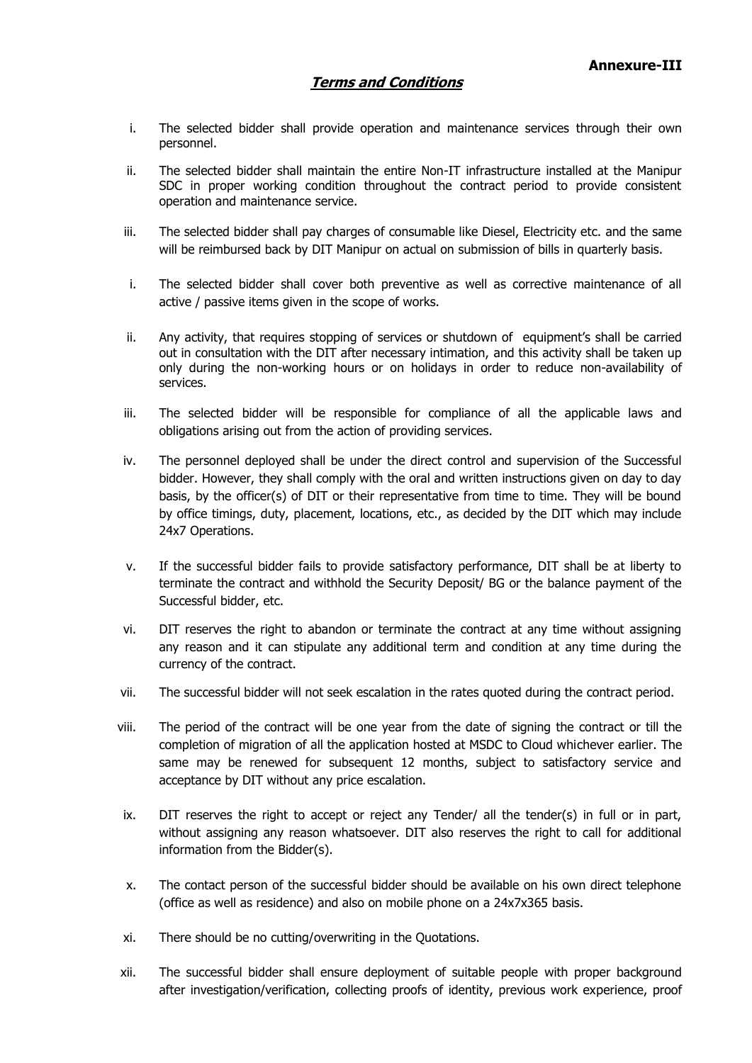- i. The selected bidder shall provide operation and maintenance services through their own personnel.
- ii. The selected bidder shall maintain the entire Non-IT infrastructure installed at the Manipur SDC in proper working condition throughout the contract period to provide consistent operation and maintenance service.
- iii. The selected bidder shall pay charges of consumable like Diesel, Electricity etc. and the same will be reimbursed back by DIT Manipur on actual on submission of bills in quarterly basis.
- i. The selected bidder shall cover both preventive as well as corrective maintenance of all active / passive items given in the scope of works.
- ii. Any activity, that requires stopping of services or shutdown of equipment's shall be carried out in consultation with the DIT after necessary intimation, and this activity shall be taken up only during the non-working hours or on holidays in order to reduce non-availability of services.
- iii. The selected bidder will be responsible for compliance of all the applicable laws and obligations arising out from the action of providing services.
- iv. The personnel deployed shall be under the direct control and supervision of the Successful bidder. However, they shall comply with the oral and written instructions given on day to day basis, by the officer(s) of DIT or their representative from time to time. They will be bound by office timings, duty, placement, locations, etc., as decided by the DIT which may include 24x7 Operations.
- v. If the successful bidder fails to provide satisfactory performance, DIT shall be at liberty to terminate the contract and withhold the Security Deposit/ BG or the balance payment of the Successful bidder, etc.
- vi. DIT reserves the right to abandon or terminate the contract at any time without assigning any reason and it can stipulate any additional term and condition at any time during the currency of the contract.
- vii. The successful bidder will not seek escalation in the rates quoted during the contract period.
- viii. The period of the contract will be one year from the date of signing the contract or till the completion of migration of all the application hosted at MSDC to Cloud whichever earlier. The same may be renewed for subsequent 12 months, subject to satisfactory service and acceptance by DIT without any price escalation.
- ix. DIT reserves the right to accept or reject any Tender/ all the tender(s) in full or in part, without assigning any reason whatsoever. DIT also reserves the right to call for additional information from the Bidder(s).
- x. The contact person of the successful bidder should be available on his own direct telephone (office as well as residence) and also on mobile phone on a 24x7x365 basis.
- xi. There should be no cutting/overwriting in the Quotations.
- xii. The successful bidder shall ensure deployment of suitable people with proper background after investigation/verification, collecting proofs of identity, previous work experience, proof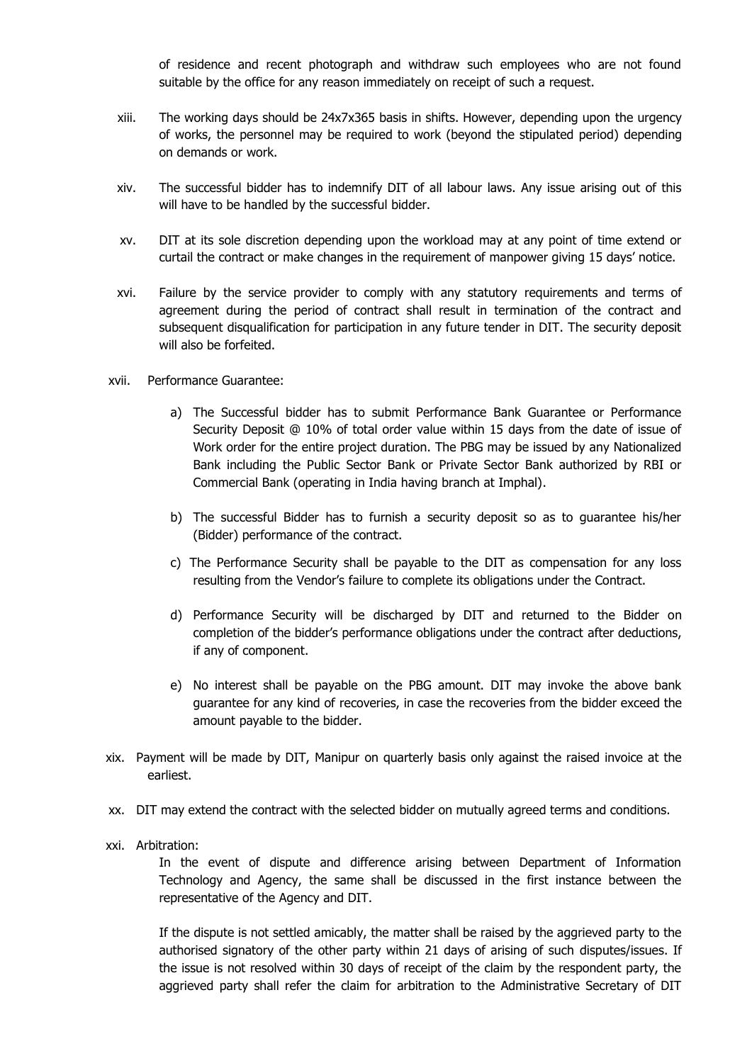of residence and recent photograph and withdraw such employees who are not found suitable by the office for any reason immediately on receipt of such a request.

- xiii. The working days should be 24x7x365 basis in shifts. However, depending upon the urgency of works, the personnel may be required to work (beyond the stipulated period) depending on demands or work.
- xiv. The successful bidder has to indemnify DIT of all labour laws. Any issue arising out of this will have to be handled by the successful bidder.
- xv. DIT at its sole discretion depending upon the workload may at any point of time extend or curtail the contract or make changes in the requirement of manpower giving 15 days' notice.
- xvi. Failure by the service provider to comply with any statutory requirements and terms of agreement during the period of contract shall result in termination of the contract and subsequent disqualification for participation in any future tender in DIT. The security deposit will also be forfeited.
- xvii. Performance Guarantee:
	- a) The Successful bidder has to submit Performance Bank Guarantee or Performance Security Deposit @ 10% of total order value within 15 days from the date of issue of Work order for the entire project duration. The PBG may be issued by any Nationalized Bank including the Public Sector Bank or Private Sector Bank authorized by RBI or Commercial Bank (operating in India having branch at Imphal).
	- b) The successful Bidder has to furnish a security deposit so as to guarantee his/her (Bidder) performance of the contract.
	- c) The Performance Security shall be payable to the DIT as compensation for any loss resulting from the Vendor's failure to complete its obligations under the Contract.
	- d) Performance Security will be discharged by DIT and returned to the Bidder on completion of the bidder's performance obligations under the contract after deductions, if any of component.
	- e) No interest shall be payable on the PBG amount. DIT may invoke the above bank guarantee for any kind of recoveries, in case the recoveries from the bidder exceed the amount payable to the bidder.
- xix. Payment will be made by DIT, Manipur on quarterly basis only against the raised invoice at the earliest.
- xx. DIT may extend the contract with the selected bidder on mutually agreed terms and conditions.
- xxi. Arbitration:

In the event of dispute and difference arising between Department of Information Technology and Agency, the same shall be discussed in the first instance between the representative of the Agency and DIT.

If the dispute is not settled amicably, the matter shall be raised by the aggrieved party to the authorised signatory of the other party within 21 days of arising of such disputes/issues. If the issue is not resolved within 30 days of receipt of the claim by the respondent party, the aggrieved party shall refer the claim for arbitration to the Administrative Secretary of DIT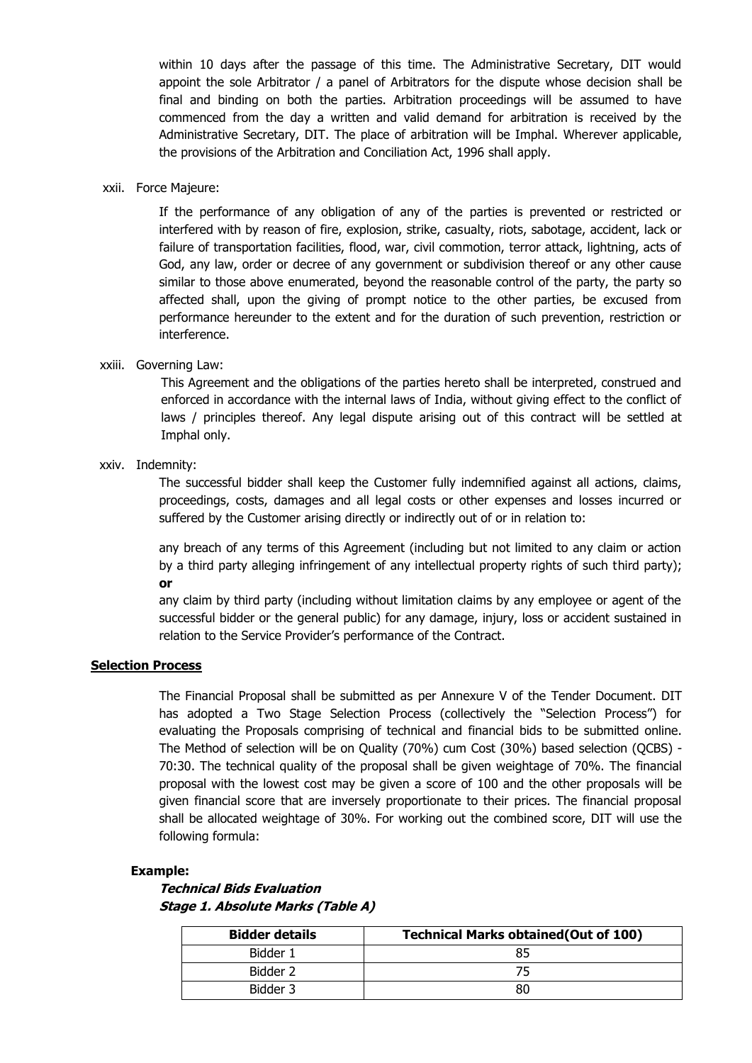within 10 days after the passage of this time. The Administrative Secretary, DIT would appoint the sole Arbitrator / a panel of Arbitrators for the dispute whose decision shall be final and binding on both the parties. Arbitration proceedings will be assumed to have commenced from the day a written and valid demand for arbitration is received by the Administrative Secretary, DIT. The place of arbitration will be Imphal. Wherever applicable, the provisions of the Arbitration and Conciliation Act, 1996 shall apply.

#### xxii. Force Majeure:

If the performance of any obligation of any of the parties is prevented or restricted or interfered with by reason of fire, explosion, strike, casualty, riots, sabotage, accident, lack or failure of transportation facilities, flood, war, civil commotion, terror attack, lightning, acts of God, any law, order or decree of any government or subdivision thereof or any other cause similar to those above enumerated, beyond the reasonable control of the party, the party so affected shall, upon the giving of prompt notice to the other parties, be excused from performance hereunder to the extent and for the duration of such prevention, restriction or interference.

#### xxiii. Governing Law:

This Agreement and the obligations of the parties hereto shall be interpreted, construed and enforced in accordance with the internal laws of India, without giving effect to the conflict of laws / principles thereof. Any legal dispute arising out of this contract will be settled at Imphal only.

#### xxiv. Indemnity:

The successful bidder shall keep the Customer fully indemnified against all actions, claims, proceedings, costs, damages and all legal costs or other expenses and losses incurred or suffered by the Customer arising directly or indirectly out of or in relation to:

any breach of any terms of this Agreement (including but not limited to any claim or action by a third party alleging infringement of any intellectual property rights of such third party); **or**

any claim by third party (including without limitation claims by any employee or agent of the successful bidder or the general public) for any damage, injury, loss or accident sustained in relation to the Service Provider's performance of the Contract.

#### **Selection Process**

The Financial Proposal shall be submitted as per Annexure V of the Tender Document. DIT has adopted a Two Stage Selection Process (collectively the "Selection Process") for evaluating the Proposals comprising of technical and financial bids to be submitted online. The Method of selection will be on Quality (70%) cum Cost (30%) based selection (QCBS) - 70:30. The technical quality of the proposal shall be given weightage of 70%. The financial proposal with the lowest cost may be given a score of 100 and the other proposals will be given financial score that are inversely proportionate to their prices. The financial proposal shall be allocated weightage of 30%. For working out the combined score, DIT will use the following formula:

#### **Example:**

**Technical Bids Evaluation Stage 1. Absolute Marks (Table A)**

| <b>Bidder details</b> | <b>Technical Marks obtained (Out of 100)</b> |
|-----------------------|----------------------------------------------|
| Bidder 1              |                                              |
| Bidder 2              |                                              |
| Bidder 3              | 80                                           |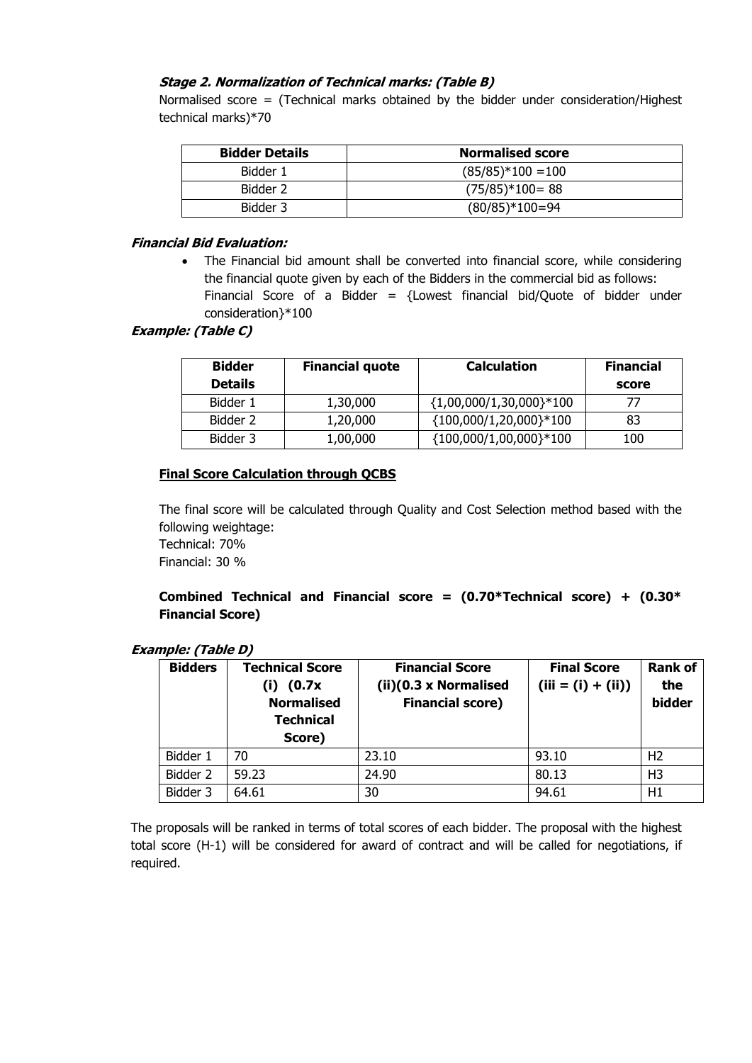#### **Stage 2. Normalization of Technical marks: (Table B)**

Normalised score = (Technical marks obtained by the bidder under consideration/Highest technical marks)\*70

| <b>Bidder Details</b> | <b>Normalised score</b> |
|-----------------------|-------------------------|
| Bidder 1              | $(85/85)*100 = 100$     |
| Bidder 2              | $(75/85)*100=88$        |
| Bidder 3              | $(80/85)*100=94$        |

#### **Financial Bid Evaluation:**

 The Financial bid amount shall be converted into financial score, while considering the financial quote given by each of the Bidders in the commercial bid as follows: Financial Score of a Bidder =  ${Lowest$  financial bid/Quote of bidder under consideration}\*100

#### **Example: (Table C)**

| <b>Bidder</b>  | <b>Financial quote</b> | <b>Calculation</b>          | <b>Financial</b> |
|----------------|------------------------|-----------------------------|------------------|
| <b>Details</b> |                        |                             | score            |
| Bidder 1       | 1,30,000               | ${1,00,000/1,30,000}$ * 100 | 77               |
| Bidder 2       | 1,20,000               | ${100,000/1,20,000}$ * 100  | 83               |
| Bidder 3       | 1,00,000               | ${100,000/1,00,000}$ *100   | 100              |

#### **Final Score Calculation through QCBS**

The final score will be calculated through Quality and Cost Selection method based with the following weightage:

Technical: 70% Financial: 30 %

#### **Combined Technical and Financial score = (0.70\*Technical score) + (0.30\* Financial Score)**

#### **Example: (Table D)**

| <b>Bidders</b> | <b>Technical Score</b><br>(0.7x)<br>(i)<br><b>Normalised</b><br><b>Technical</b><br>Score) | <b>Financial Score</b><br>$(ii)(0.3 \times Normalised)$<br><b>Financial score)</b> | <b>Final Score</b><br>$(iii = (i) + (ii))$ | <b>Rank of</b><br>the<br>bidder |
|----------------|--------------------------------------------------------------------------------------------|------------------------------------------------------------------------------------|--------------------------------------------|---------------------------------|
| Bidder 1       | 70                                                                                         | 23.10                                                                              | 93.10                                      | H <sub>2</sub>                  |
| Bidder 2       | 59.23                                                                                      | 24.90                                                                              | 80.13                                      | H <sub>3</sub>                  |
| Bidder 3       | 64.61                                                                                      | 30                                                                                 | 94.61                                      | H1                              |

The proposals will be ranked in terms of total scores of each bidder. The proposal with the highest total score (H-1) will be considered for award of contract and will be called for negotiations, if required.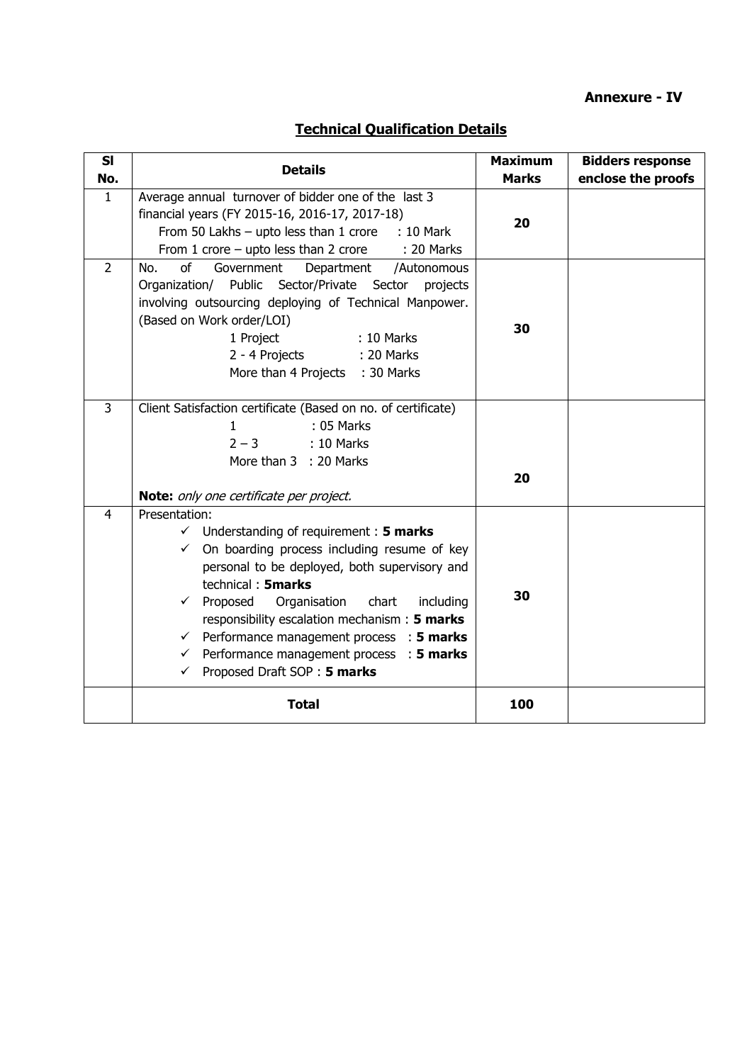## **Annexure - IV**

# **Technical Qualification Details**

| SI<br>No.      | <b>Details</b>                                                                                                                                                                                                                                                                                                                                                                                                                                                                    | <b>Maximum</b><br><b>Marks</b> | <b>Bidders response</b><br>enclose the proofs |
|----------------|-----------------------------------------------------------------------------------------------------------------------------------------------------------------------------------------------------------------------------------------------------------------------------------------------------------------------------------------------------------------------------------------------------------------------------------------------------------------------------------|--------------------------------|-----------------------------------------------|
| $\mathbf{1}$   | Average annual turnover of bidder one of the last 3<br>financial years (FY 2015-16, 2016-17, 2017-18)<br>From 50 Lakhs $-$ upto less than 1 crore<br>: 10 Mark<br>From 1 crore $-$ upto less than 2 crore<br>: 20 Marks                                                                                                                                                                                                                                                           | 20                             |                                               |
| $\overline{2}$ | of<br>Government<br>Department /Autonomous<br>No.<br>Organization/ Public Sector/Private Sector projects<br>involving outsourcing deploying of Technical Manpower.<br>(Based on Work order/LOI)<br>1 Project<br>: 10 Marks<br>2 - 4 Projects<br>: 20 Marks<br>More than 4 Projects : 30 Marks                                                                                                                                                                                     | 30                             |                                               |
| $\overline{3}$ | Client Satisfaction certificate (Based on no. of certificate)<br>: 05 Marks<br>1<br>$2 - 3$<br>$: 10$ Marks<br>More than 3 : 20 Marks<br>Note: only one certificate per project.                                                                                                                                                                                                                                                                                                  | 20                             |                                               |
| $\overline{4}$ | Presentation:<br>$\checkmark$ Understanding of requirement : 5 marks<br>$\checkmark$ On boarding process including resume of key<br>personal to be deployed, both supervisory and<br>technical: 5marks<br>Organisation chart<br>Proposed<br>including<br>$\checkmark$<br>responsibility escalation mechanism: 5 marks<br>Performance management process : 5 marks<br>$\checkmark$<br>Performance management process : 5 marks<br>$\checkmark$<br>Proposed Draft SOP: 5 marks<br>✓ | 30                             |                                               |
|                | <b>Total</b>                                                                                                                                                                                                                                                                                                                                                                                                                                                                      | 100                            |                                               |